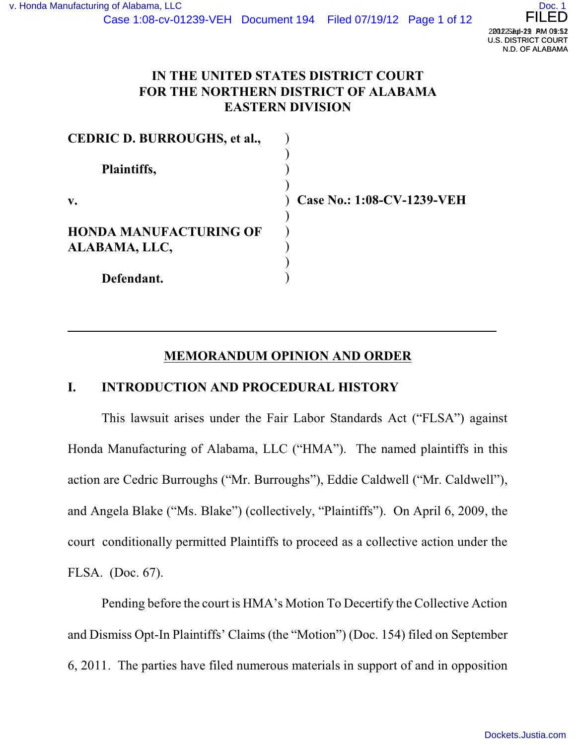

# **IN THE UNITED STATES DISTRICT COURT FOR THE NORTHERN DISTRICT OF ALABAMA EASTERN DIVISION**

| <b>CEDRIC D. BURROUGHS, et al.,</b> |                            |
|-------------------------------------|----------------------------|
| Plaintiffs,                         |                            |
| $\mathbf{v}$ .                      | Case No.: 1:08-CV-1239-VEH |
|                                     |                            |
| <b>HONDA MANUFACTURING OF</b>       |                            |
| ALABAMA, LLC,                       |                            |
|                                     |                            |
| Defendant.                          |                            |

### **MEMORANDUM OPINION AND ORDER**

#### **I. INTRODUCTION AND PROCEDURAL HISTORY**

This lawsuit arises under the Fair Labor Standards Act ("FLSA") against Honda Manufacturing of Alabama, LLC ("HMA"). The named plaintiffs in this action are Cedric Burroughs ("Mr. Burroughs"), Eddie Caldwell ("Mr. Caldwell"), and Angela Blake ("Ms. Blake") (collectively, "Plaintiffs"). On April 6, 2009, the court conditionally permitted Plaintiffs to proceed as a collective action under the FLSA. (Doc. 67).

Pending before the court is HMA's Motion To Decertify the Collective Action and Dismiss Opt-In Plaintiffs' Claims (the "Motion") (Doc. 154) filed on September 6, 2011. The parties have filed numerous materials in support of and in opposition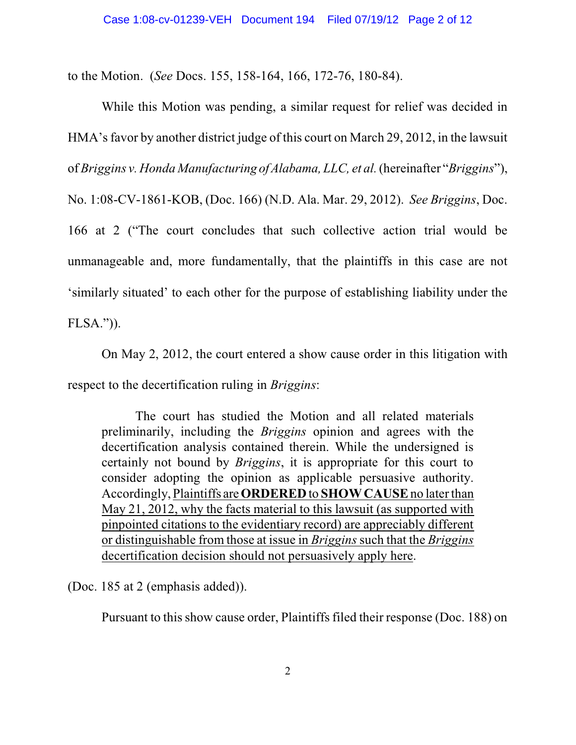to the Motion. (*See* Docs. 155, 158-164, 166, 172-76, 180-84).

While this Motion was pending, a similar request for relief was decided in HMA's favor by another district judge of this court on March 29, 2012, in the lawsuit of *Briggins v. Honda Manufacturing of Alabama, LLC, et al.*(hereinafter "*Briggins*"), No. 1:08-CV-1861-KOB, (Doc. 166) (N.D. Ala. Mar. 29, 2012). *See Briggins*, Doc. 166 at 2 ("The court concludes that such collective action trial would be unmanageable and, more fundamentally, that the plaintiffs in this case are not 'similarly situated' to each other for the purpose of establishing liability under the FLSA.")).

On May 2, 2012, the court entered a show cause order in this litigation with respect to the decertification ruling in *Briggins*:

The court has studied the Motion and all related materials preliminarily, including the *Briggins* opinion and agrees with the decertification analysis contained therein. While the undersigned is certainly not bound by *Briggins*, it is appropriate for this court to consider adopting the opinion as applicable persuasive authority. Accordingly, Plaintiffs are **ORDERED** to **SHOW CAUSE**no later than May 21, 2012, why the facts material to this lawsuit (as supported with pinpointed citations to the evidentiary record) are appreciably different or distinguishable from those at issue in *Briggins* such that the *Briggins* decertification decision should not persuasively apply here.

(Doc. 185 at 2 (emphasis added)).

Pursuant to this show cause order, Plaintiffs filed their response (Doc. 188) on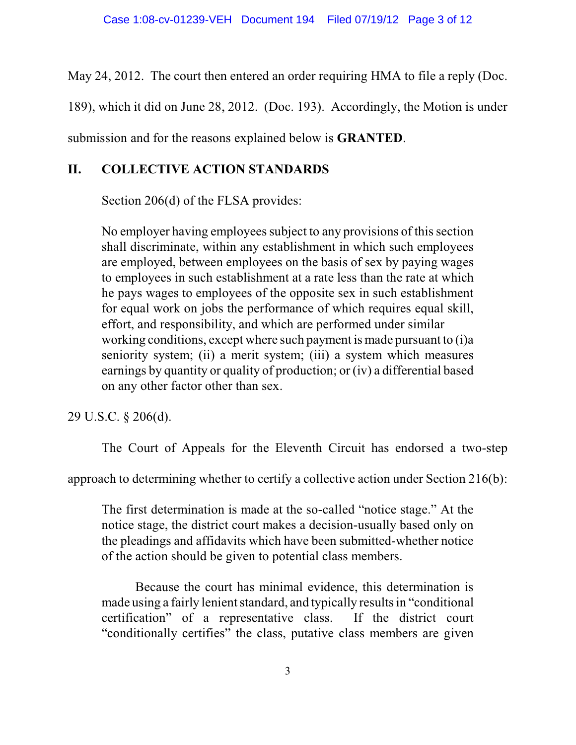May 24, 2012. The court then entered an order requiring HMA to file a reply (Doc.

189), which it did on June 28, 2012. (Doc. 193). Accordingly, the Motion is under

submission and for the reasons explained below is **GRANTED**.

# **II. COLLECTIVE ACTION STANDARDS**

Section 206(d) of the FLSA provides:

No employer having employees subject to any provisions of this section shall discriminate, within any establishment in which such employees are employed, between employees on the basis of sex by paying wages to employees in such establishment at a rate less than the rate at which he pays wages to employees of the opposite sex in such establishment for equal work on jobs the performance of which requires equal skill, effort, and responsibility, and which are performed under similar working conditions, except where such payment is made pursuant to (i)a seniority system; (ii) a merit system; (iii) a system which measures earnings by quantity or quality of production; or (iv) a differential based on any other factor other than sex.

29 U.S.C. § 206(d).

The Court of Appeals for the Eleventh Circuit has endorsed a two-step

approach to determining whether to certify a collective action under Section 216(b):

The first determination is made at the so-called "notice stage." At the notice stage, the district court makes a decision-usually based only on the pleadings and affidavits which have been submitted-whether notice of the action should be given to potential class members.

Because the court has minimal evidence, this determination is made using a fairly lenient standard, and typically results in "conditional" certification" of a representative class. If the district court "conditionally certifies" the class, putative class members are given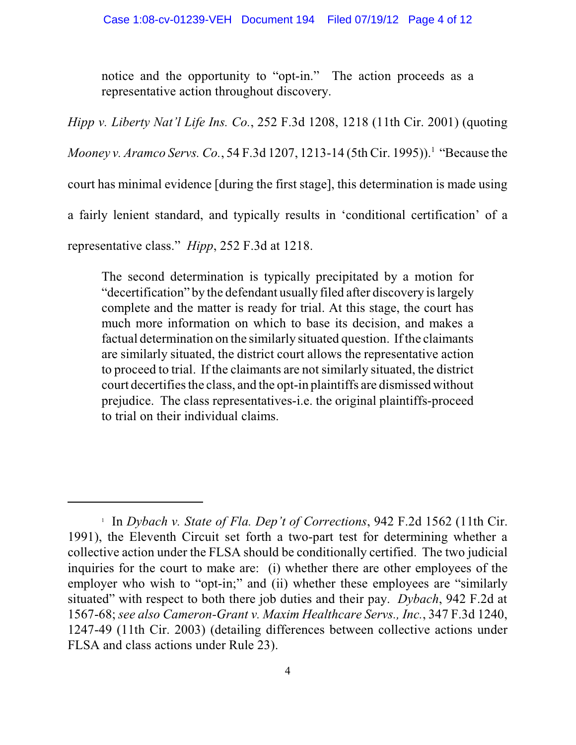notice and the opportunity to "opt-in." The action proceeds as a representative action throughout discovery.

*Hipp v. Liberty Nat'l Life Ins. Co.*, 252 F.3d 1208, 1218 (11th Cir. 2001) (quoting

*Mooney v. Aramco Servs. Co.*, 54 F.3d 1207, 1213-14 (5th Cir. 1995)).<sup>1</sup> "Because the

court has minimal evidence [during the first stage], this determination is made using

a fairly lenient standard, and typically results in 'conditional certification' of a

representative class." *Hipp*, 252 F.3d at 1218.

The second determination is typically precipitated by a motion for "decertification" by the defendant usually filed after discovery islargely complete and the matter is ready for trial. At this stage, the court has much more information on which to base its decision, and makes a factual determination on the similarly situated question. If the claimants are similarly situated, the district court allows the representative action to proceed to trial. If the claimants are not similarly situated, the district court decertifies the class, and the opt-in plaintiffs are dismissed without prejudice. The class representatives-i.e. the original plaintiffs-proceed to trial on their individual claims.

<sup>&</sup>lt;sup>1</sup> In *Dybach v. State of Fla. Dep't of Corrections*, 942 F.2d 1562 (11th Cir. 1991), the Eleventh Circuit set forth a two-part test for determining whether a collective action under the FLSA should be conditionally certified. The two judicial inquiries for the court to make are: (i) whether there are other employees of the employer who wish to "opt-in;" and (ii) whether these employees are "similarly situated" with respect to both there job duties and their pay. *Dybach*, 942 F.2d at 1567-68; *see also Cameron-Grant v. Maxim Healthcare Servs., Inc.*, 347 F.3d 1240, 1247-49 (11th Cir. 2003) (detailing differences between collective actions under FLSA and class actions under Rule 23).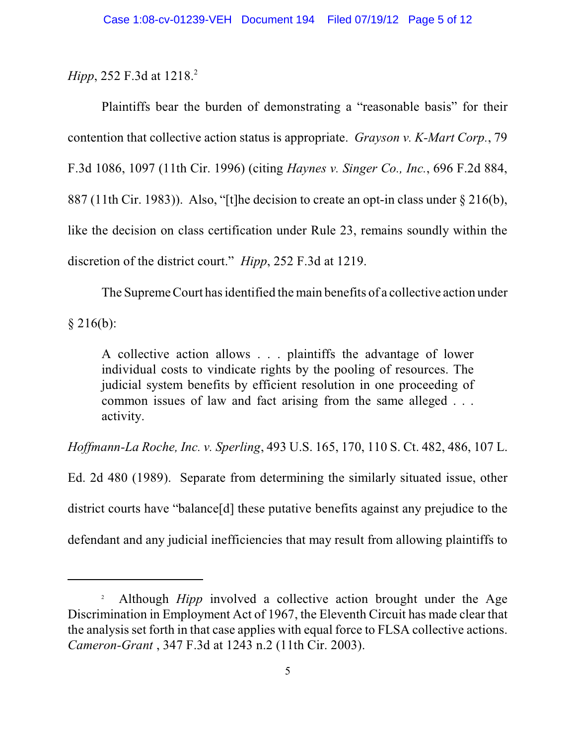*Hipp*, 252 F.3d at 1218.<sup>2</sup>

Plaintiffs bear the burden of demonstrating a "reasonable basis" for their contention that collective action status is appropriate. *Grayson v. K-Mart Corp.*, 79 F.3d 1086, 1097 (11th Cir. 1996) (citing *Haynes v. Singer Co., Inc.*, 696 F.2d 884, 887 (11th Cir. 1983)). Also, "[t]he decision to create an opt-in class under § 216(b), like the decision on class certification under Rule 23, remains soundly within the discretion of the district court." *Hipp*, 252 F.3d at 1219.

The Supreme Court has identified the main benefits of a collective action under  $§$  216(b):

A collective action allows . . . plaintiffs the advantage of lower individual costs to vindicate rights by the pooling of resources. The judicial system benefits by efficient resolution in one proceeding of common issues of law and fact arising from the same alleged . . . activity.

*Hoffmann-La Roche, Inc. v. Sperling*, 493 U.S. 165, 170, 110 S. Ct. 482, 486, 107 L.

Ed. 2d 480 (1989). Separate from determining the similarly situated issue, other district courts have "balance[d] these putative benefits against any prejudice to the defendant and any judicial inefficiencies that may result from allowing plaintiffs to

<sup>&</sup>lt;sup>2</sup> Although *Hipp* involved a collective action brought under the Age Discrimination in Employment Act of 1967, the Eleventh Circuit has made clear that the analysis set forth in that case applies with equal force to FLSA collective actions. *Cameron-Grant* , 347 F.3d at 1243 n.2 (11th Cir. 2003).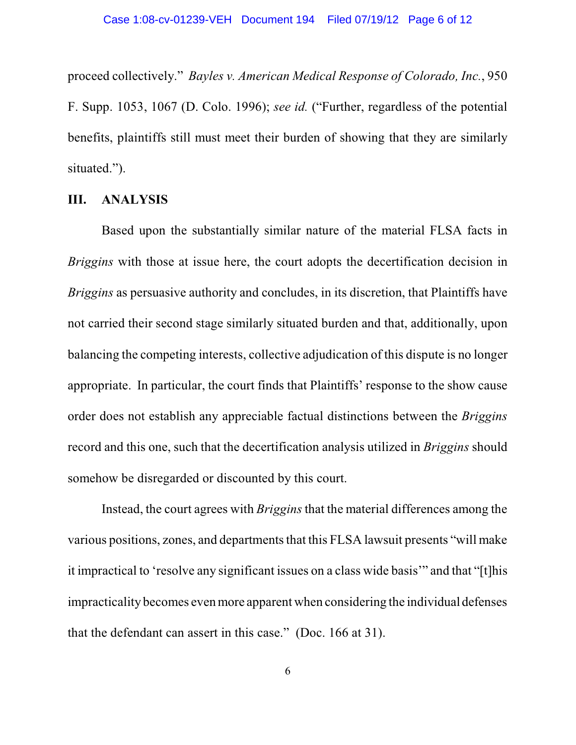proceed collectively." *Bayles v. American Medical Response of Colorado, Inc.*, 950 F. Supp. 1053, 1067 (D. Colo. 1996); *see id.* ("Further, regardless of the potential benefits, plaintiffs still must meet their burden of showing that they are similarly situated.").

#### **III. ANALYSIS**

Based upon the substantially similar nature of the material FLSA facts in *Briggins* with those at issue here, the court adopts the decertification decision in *Briggins* as persuasive authority and concludes, in its discretion, that Plaintiffs have not carried their second stage similarly situated burden and that, additionally, upon balancing the competing interests, collective adjudication of this dispute is no longer appropriate. In particular, the court finds that Plaintiffs' response to the show cause order does not establish any appreciable factual distinctions between the *Briggins* record and this one, such that the decertification analysis utilized in *Briggins* should somehow be disregarded or discounted by this court.

Instead, the court agrees with *Briggins* that the material differences among the various positions, zones, and departments that this FLSA lawsuit presents "will make it impractical to 'resolve any significant issues on a class wide basis'" and that "[t]his impracticality becomes evenmore apparent when considering the individual defenses that the defendant can assert in this case." (Doc. 166 at 31).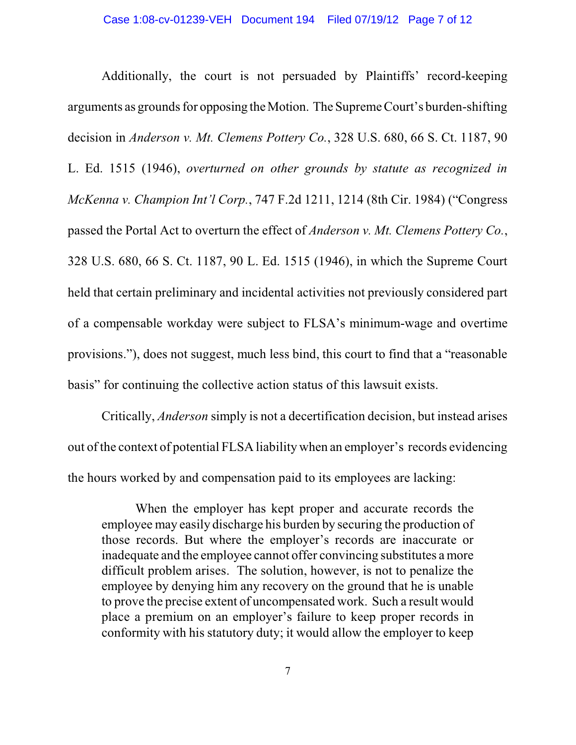Additionally, the court is not persuaded by Plaintiffs' record-keeping arguments as grounds for opposing theMotion. The Supreme Court's burden-shifting decision in *Anderson v. Mt. Clemens Pottery Co.*, 328 U.S. 680, 66 S. Ct. 1187, 90 L. Ed. 1515 (1946), *overturned on other grounds by statute as recognized in McKenna v. Champion Int'l Corp.*, 747 F.2d 1211, 1214 (8th Cir. 1984) ("Congress passed the Portal Act to overturn the effect of *Anderson v. Mt. Clemens Pottery Co.*, 328 U.S. 680, 66 S. Ct. 1187, 90 L. Ed. 1515 (1946), in which the Supreme Court held that certain preliminary and incidental activities not previously considered part of a compensable workday were subject to FLSA's minimum-wage and overtime provisions."), does not suggest, much less bind, this court to find that a "reasonable basis" for continuing the collective action status of this lawsuit exists.

Critically, *Anderson* simply is not a decertification decision, but instead arises out of the context of potential FLSA liability when an employer's records evidencing the hours worked by and compensation paid to its employees are lacking:

When the employer has kept proper and accurate records the employee may easily discharge his burden by securing the production of those records. But where the employer's records are inaccurate or inadequate and the employee cannot offer convincing substitutes a more difficult problem arises. The solution, however, is not to penalize the employee by denying him any recovery on the ground that he is unable to prove the precise extent of uncompensated work. Such a result would place a premium on an employer's failure to keep proper records in conformity with his statutory duty; it would allow the employer to keep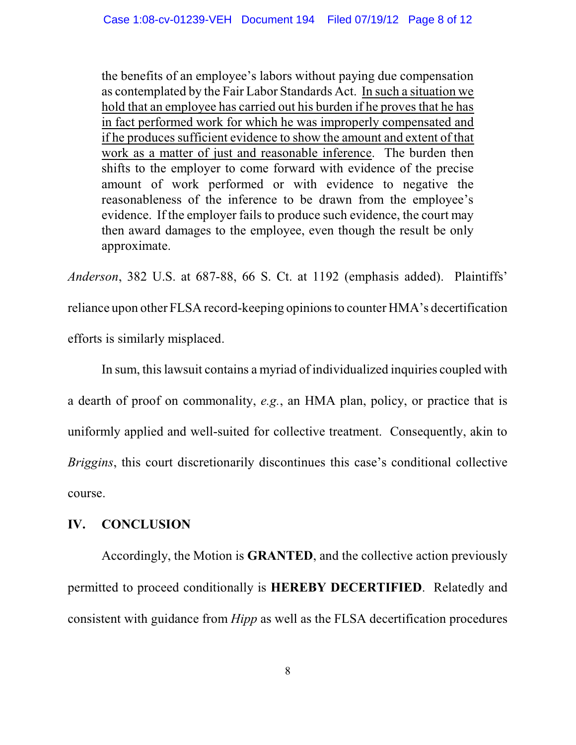the benefits of an employee's labors without paying due compensation as contemplated by the Fair Labor Standards Act. In such a situation we hold that an employee has carried out his burden if he proves that he has in fact performed work for which he was improperly compensated and if he produces sufficient evidence to show the amount and extent of that work as a matter of just and reasonable inference. The burden then shifts to the employer to come forward with evidence of the precise amount of work performed or with evidence to negative the reasonableness of the inference to be drawn from the employee's evidence. If the employer fails to produce such evidence, the court may then award damages to the employee, even though the result be only approximate.

*Anderson*, 382 U.S. at 687-88, 66 S. Ct. at 1192 (emphasis added). Plaintiffs' reliance upon other FLSA record-keeping opinionsto counter HMA's decertification efforts is similarly misplaced.

In sum, thislawsuit contains a myriad of individualized inquiries coupled with a dearth of proof on commonality, *e.g.*, an HMA plan, policy, or practice that is uniformly applied and well-suited for collective treatment. Consequently, akin to *Briggins*, this court discretionarily discontinues this case's conditional collective course.

### **IV. CONCLUSION**

Accordingly, the Motion is **GRANTED**, and the collective action previously permitted to proceed conditionally is **HEREBY DECERTIFIED**. Relatedly and consistent with guidance from *Hipp* as well as the FLSA decertification procedures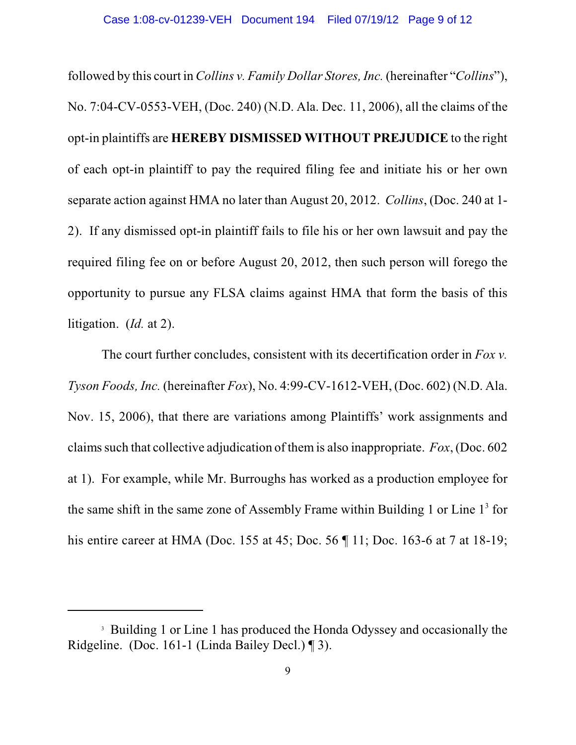followed by this court in *Collins v. Family Dollar Stores, Inc.* (hereinafter "*Collins*"), No. 7:04-CV-0553-VEH, (Doc. 240) (N.D. Ala. Dec. 11, 2006), all the claims of the opt-in plaintiffs are **HEREBY DISMISSED WITHOUT PREJUDICE** to the right of each opt-in plaintiff to pay the required filing fee and initiate his or her own separate action against HMA no later than August 20, 2012. *Collins*, (Doc. 240 at 1- 2). If any dismissed opt-in plaintiff fails to file his or her own lawsuit and pay the required filing fee on or before August 20, 2012, then such person will forego the opportunity to pursue any FLSA claims against HMA that form the basis of this litigation. (*Id.* at 2).

The court further concludes, consistent with its decertification order in *Fox v. Tyson Foods, Inc.* (hereinafter *Fox*), No. 4:99-CV-1612-VEH, (Doc. 602) (N.D. Ala. Nov. 15, 2006), that there are variations among Plaintiffs' work assignments and claims such that collective adjudication of themis also inappropriate. *Fox*, (Doc. 602 at 1). For example, while Mr. Burroughs has worked as a production employee for the same shift in the same zone of Assembly Frame within Building 1 or Line  $1<sup>3</sup>$  for his entire career at HMA (Doc. 155 at 45; Doc. 56 ¶ 11; Doc. 163-6 at 7 at 18-19;

<sup>&</sup>lt;sup>3</sup> Building 1 or Line 1 has produced the Honda Odyssey and occasionally the Ridgeline. (Doc. 161-1 (Linda Bailey Decl.) ¶ 3).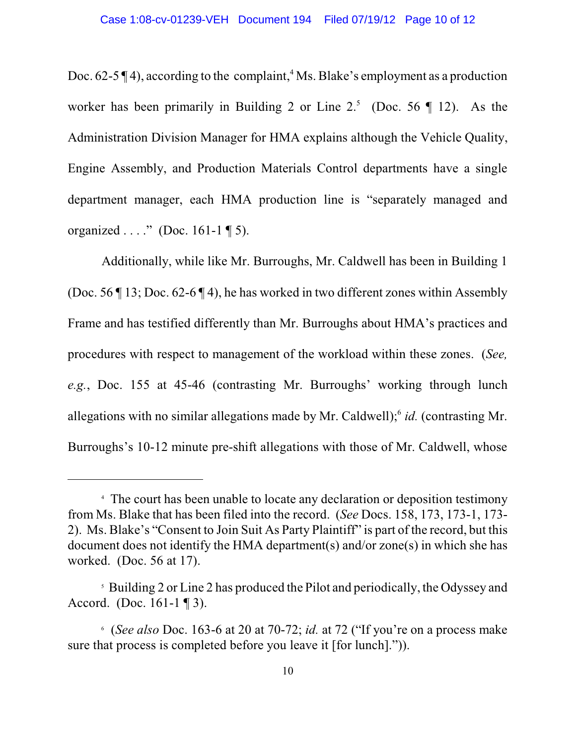Doc. 62-5  $\P$ 4), according to the complaint, <sup>4</sup> Ms. Blake's employment as a production worker has been primarily in Building 2 or Line  $2<sup>5</sup>$  (Doc. 56 ¶ 12). As the Administration Division Manager for HMA explains although the Vehicle Quality, Engine Assembly, and Production Materials Control departments have a single department manager, each HMA production line is "separately managed and organized  $\ldots$ ." (Doc. 161-1 ¶ 5).

Additionally, while like Mr. Burroughs, Mr. Caldwell has been in Building 1 (Doc. 56 ¶ 13; Doc. 62-6 ¶ 4), he has worked in two different zones within Assembly Frame and has testified differently than Mr. Burroughs about HMA's practices and procedures with respect to management of the workload within these zones. (*See, e.g.*, Doc. 155 at 45-46 (contrasting Mr. Burroughs' working through lunch allegations with no similar allegations made by Mr. Caldwell);<sup>6</sup> id. (contrasting Mr. Burroughs's 10-12 minute pre-shift allegations with those of Mr. Caldwell, whose

The court has been unable to locate any declaration or deposition testimony 4 from Ms. Blake that has been filed into the record. (*See* Docs. 158, 173, 173-1, 173- 2). Ms. Blake's "Consent to Join Suit As Party Plaintiff" is part of the record, but this document does not identify the HMA department(s) and/or zone(s) in which she has worked. (Doc. 56 at 17).

<sup>&</sup>lt;sup>5</sup> Building 2 or Line 2 has produced the Pilot and periodically, the Odyssey and Accord. (Doc. 161-1 ¶ 3).

 <sup>(</sup>*See also* Doc. 163-6 at 20 at 70-72; *id.* at 72 ("If you're on a process make 6 sure that process is completed before you leave it [for lunch].")).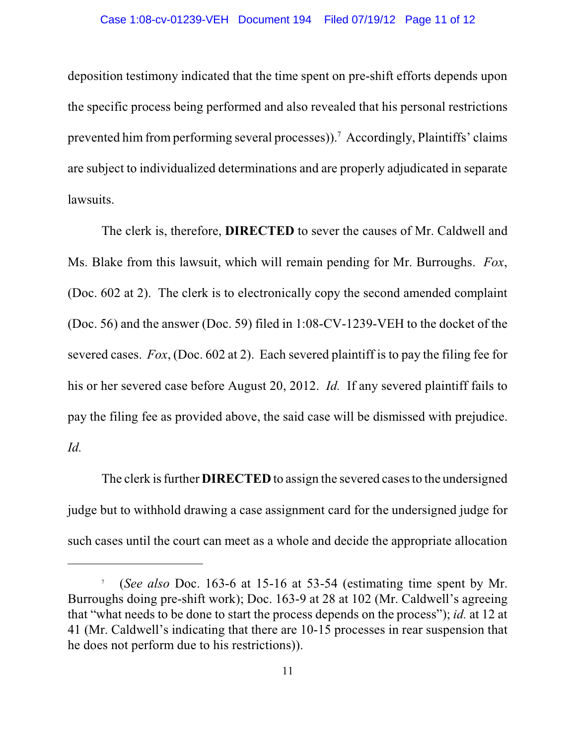deposition testimony indicated that the time spent on pre-shift efforts depends upon the specific process being performed and also revealed that his personal restrictions prevented him from performing several processes)).<sup>7</sup> Accordingly, Plaintiffs' claims are subject to individualized determinations and are properly adjudicated in separate lawsuits.

The clerk is, therefore, **DIRECTED** to sever the causes of Mr. Caldwell and Ms. Blake from this lawsuit, which will remain pending for Mr. Burroughs. *Fox*, (Doc. 602 at 2). The clerk is to electronically copy the second amended complaint (Doc. 56) and the answer (Doc. 59) filed in 1:08-CV-1239-VEH to the docket of the severed cases. *Fox*, (Doc. 602 at 2). Each severed plaintiff is to pay the filing fee for his or her severed case before August 20, 2012. *Id.* If any severed plaintiff fails to pay the filing fee as provided above, the said case will be dismissed with prejudice. *Id.*

The clerk is further **DIRECTED** to assign the severed cases to the undersigned judge but to withhold drawing a case assignment card for the undersigned judge for such cases until the court can meet as a whole and decide the appropriate allocation

<sup>&</sup>lt;sup>7</sup> (*See also* Doc. 163-6 at 15-16 at 53-54 (estimating time spent by Mr. Burroughs doing pre-shift work); Doc. 163-9 at 28 at 102 (Mr. Caldwell's agreeing that "what needs to be done to start the process depends on the process"); *id.* at 12 at 41 (Mr. Caldwell's indicating that there are 10-15 processes in rear suspension that he does not perform due to his restrictions)).